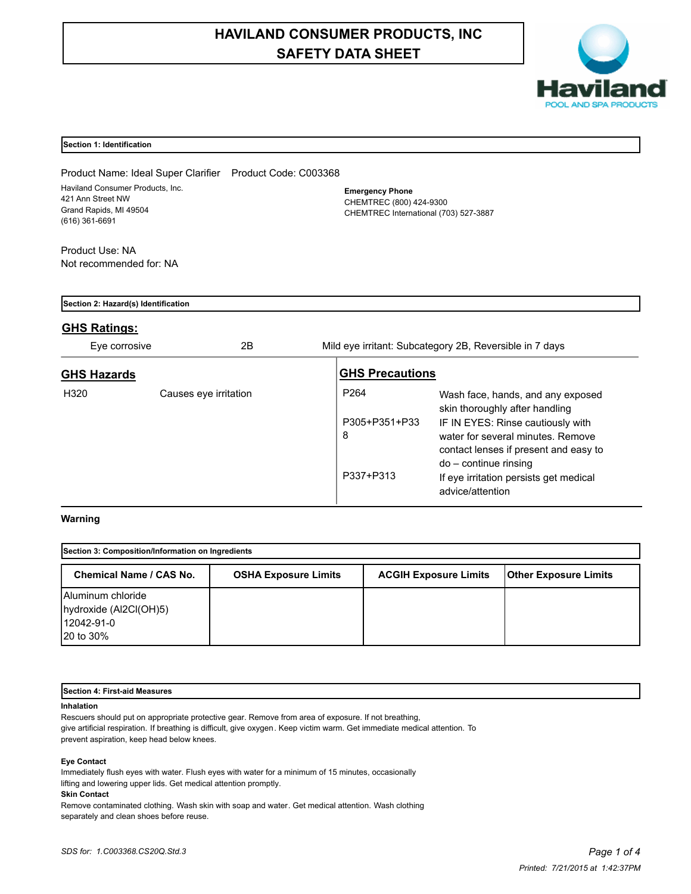# **HAVILAND CONSUMER PRODUCTS, INC SAFETY DATA SHEET**



# **Section 1: Identification**

Product Name: Ideal Super Clarifier Product Code: C003368 Haviland Consumer Products, Inc. 421 Ann Street NW Grand Rapids, MI 49504 (616) 361-6691

**Emergency Phone** CHEMTREC (800) 424-9300 CHEMTREC International (703) 527-3887

Product Use: NA Not recommended for: NA

| Section 2: Hazard(s) Identification |                       |                                                     |                                                                                                                                                                                                                                                                               |  |  |  |  |
|-------------------------------------|-----------------------|-----------------------------------------------------|-------------------------------------------------------------------------------------------------------------------------------------------------------------------------------------------------------------------------------------------------------------------------------|--|--|--|--|
| <b>GHS Ratings:</b>                 |                       |                                                     |                                                                                                                                                                                                                                                                               |  |  |  |  |
| Eye corrosive                       | 2Β                    |                                                     | Mild eye irritant: Subcategory 2B, Reversible in 7 days                                                                                                                                                                                                                       |  |  |  |  |
| <b>GHS Hazards</b>                  |                       | <b>GHS Precautions</b>                              |                                                                                                                                                                                                                                                                               |  |  |  |  |
| H320                                | Causes eye irritation | P <sub>264</sub><br>P305+P351+P33<br>8<br>P337+P313 | Wash face, hands, and any exposed<br>skin thoroughly after handling<br>IF IN EYES: Rinse cautiously with<br>water for several minutes. Remove<br>contact lenses if present and easy to<br>do – continue rinsing<br>If eye irritation persists get medical<br>advice/attention |  |  |  |  |

# **Warning**

| Section 3: Composition/Information on Ingredients                             |                             |                              |                              |  |  |  |
|-------------------------------------------------------------------------------|-----------------------------|------------------------------|------------------------------|--|--|--|
| Chemical Name / CAS No.                                                       | <b>OSHA Exposure Limits</b> | <b>ACGIH Exposure Limits</b> | <b>Other Exposure Limits</b> |  |  |  |
| Aluminum chloride<br>hydroxide (Al2Cl(OH)5)<br>12042-91-0<br><b>20 to 30%</b> |                             |                              |                              |  |  |  |

## **Section 4: First-aid Measures**

## **Inhalation**

Rescuers should put on appropriate protective gear. Remove from area of exposure. If not breathing, give artificial respiration. If breathing is difficult, give oxygen. Keep victim warm. Get immediate medical attention. To prevent aspiration, keep head below knees.

#### **Eye Contact**

Immediately flush eyes with water. Flush eyes with water for a minimum of 15 minutes, occasionally lifting and lowering upper lids. Get medical attention promptly.

## **Skin Contact**

Remove contaminated clothing. Wash skin with soap and water. Get medical attention. Wash clothing separately and clean shoes before reuse.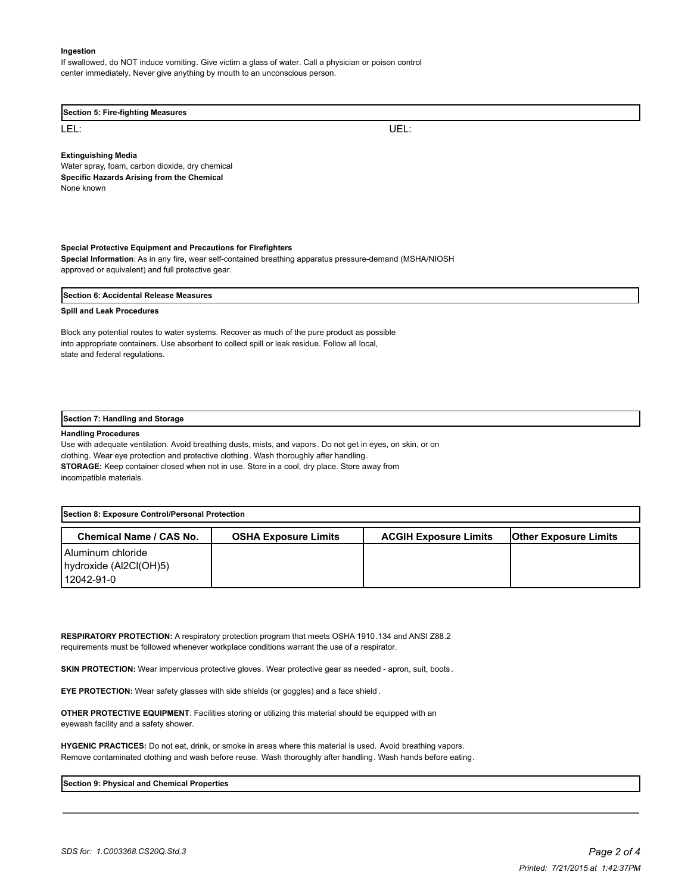#### **Ingestion**

If swallowed, do NOT induce vomiting. Give victim a glass of water. Call a physician or poison control center immediately. Never give anything by mouth to an unconscious person.

#### **Section 5: Fire-fighting Measures**

LEL: UEL:

**Extinguishing Media**

Water spray, foam, carbon dioxide, dry chemical **Specific Hazards Arising from the Chemical** None known

#### **Special Protective Equipment and Precautions for Firefighters**

**Special Information**: As in any fire, wear self-contained breathing apparatus pressure-demand (MSHA/NIOSH approved or equivalent) and full protective gear.

#### **Section 6: Accidental Release Measures**

## **Spill and Leak Procedures**

Block any potential routes to water systems. Recover as much of the pure product as possible into appropriate containers. Use absorbent to collect spill or leak residue. Follow all local, state and federal regulations.

#### **Section 7: Handling and Storage**

#### **Handling Procedures**

Use with adequate ventilation. Avoid breathing dusts, mists, and vapors. Do not get in eyes, on skin, or on clothing. Wear eye protection and protective clothing. Wash thoroughly after handling. **STORAGE:** Keep container closed when not in use. Store in a cool, dry place. Store away from incompatible materials.

| Section 8: Exposure Control/Personal Protection |                             |                              |                              |  |  |  |  |
|-------------------------------------------------|-----------------------------|------------------------------|------------------------------|--|--|--|--|
| Chemical Name / CAS No.                         | <b>OSHA Exposure Limits</b> | <b>ACGIH Exposure Limits</b> | <b>Other Exposure Limits</b> |  |  |  |  |
| Aluminum chloride                               |                             |                              |                              |  |  |  |  |
| hydroxide (Al2CI(OH)5)                          |                             |                              |                              |  |  |  |  |
| 12042-91-0                                      |                             |                              |                              |  |  |  |  |

**RESPIRATORY PROTECTION:** A respiratory protection program that meets OSHA 1910.134 and ANSI Z88.2 requirements must be followed whenever workplace conditions warrant the use of a respirator.

**SKIN PROTECTION:** Wear impervious protective gloves. Wear protective gear as needed - apron, suit, boots.

**EYE PROTECTION:** Wear safety glasses with side shields (or goggles) and a face shield .

**OTHER PROTECTIVE EQUIPMENT**: Facilities storing or utilizing this material should be equipped with an eyewash facility and a safety shower.

**HYGENIC PRACTICES:** Do not eat, drink, or smoke in areas where this material is used. Avoid breathing vapors. Remove contaminated clothing and wash before reuse. Wash thoroughly after handling. Wash hands before eating.

## **Section 9: Physical and Chemical Properties**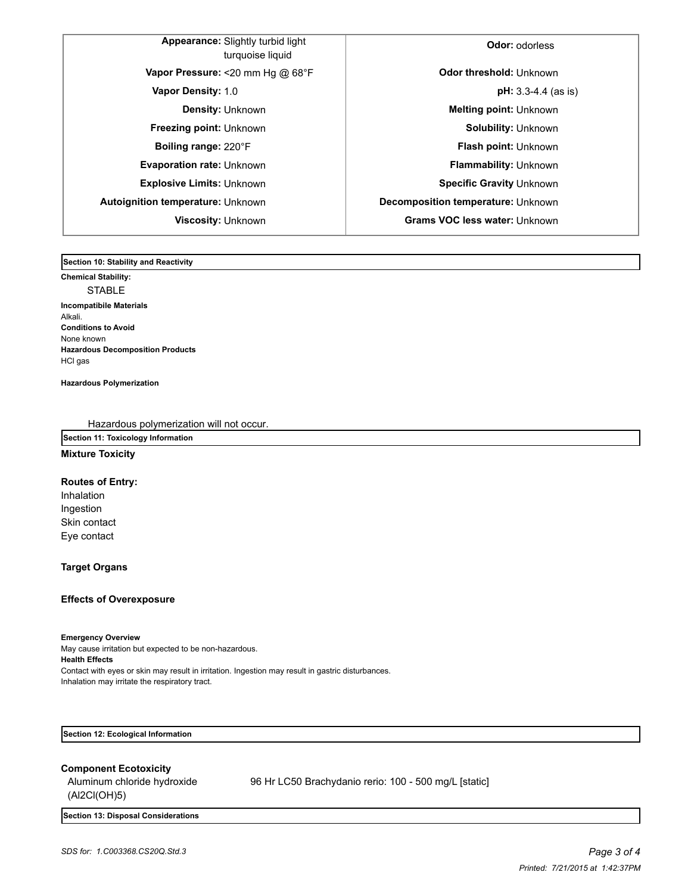| <b>Appearance:</b> Slightly turbid light<br>turquoise liquid |  |
|--------------------------------------------------------------|--|
| Vapor Pressure: <20 mm Hg $@$ 68°F                           |  |
| Vapor Density: 1.0                                           |  |
| <b>Density: Unknown</b>                                      |  |
| <b>Freezing point: Unknown</b>                               |  |
| Boiling range: 220°F                                         |  |
| <b>Evaporation rate: Unknown</b>                             |  |
| Explosive Limits: Unknown                                    |  |
| Autoignition temperature: Unknown                            |  |
| Viscosity: Unknown                                           |  |
|                                                              |  |

**Ador:** odorless **Odor threshold: Unknown pH:** 3.3-4.4 (as is) **Melting point: Unknown Freezing point:** Unknown **Solubility:** Unknown **Flash point: Unknown Flammability:** Unknown **Explosive Limits:** Unknown **Specific Gravity** Unknown **Autoignition temperature:** Unknown **Decomposition temperature:** Unknown **Viscosity:** Unknown **Grams VOC less water:** Unknown

**Section 10: Stability and Reactivity** 

**Chemical Stability:** STABLE **Incompatibile Materials**  Alkali. **Conditions to Avoid** None known **Hazardous Decomposition Products** HCl gas

**Hazardous Polymerization**

Hazardous polymerization will not occur.

# **Section 11: Toxicology Information**

## **Mixture Toxicity**

**Routes of Entry:**

Inhalation Ingestion Skin contact Eye contact

# **Target Organs**

# **Effects of Overexposure**

## **Emergency Overview**

May cause irritation but expected to be non-hazardous. **Health Effects** Contact with eyes or skin may result in irritation. Ingestion may result in gastric disturbances. Inhalation may irritate the respiratory tract.

**Section 12: Ecological Information**

## **Component Ecotoxicity**

Aluminum chloride hydroxide (Al2Cl(OH)5) 96 Hr LC50 Brachydanio rerio: 100 - 500 mg/L [static]

**Section 13: Disposal Considerations**